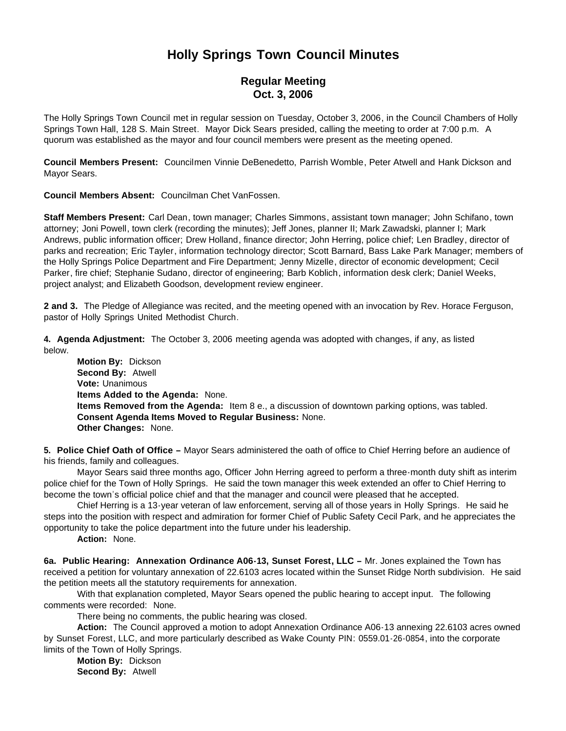# **Holly Springs Town Council Minutes**

## **Regular Meeting Oct. 3, 2006**

The Holly Springs Town Council met in regular session on Tuesday, October 3, 2006, in the Council Chambers of Holly Springs Town Hall, 128 S. Main Street. Mayor Dick Sears presided, calling the meeting to order at 7:00 p.m. A quorum was established as the mayor and four council members were present as the meeting opened.

**Council Members Present:** Councilmen Vinnie DeBenedetto, Parrish Womble, Peter Atwell and Hank Dickson and Mayor Sears.

**Council Members Absent:** Councilman Chet VanFossen.

**Staff Members Present:** Carl Dean, town manager; Charles Simmons, assistant town manager; John Schifano, town attorney; Joni Powell, town clerk (recording the minutes); Jeff Jones, planner II; Mark Zawadski, planner I; Mark Andrews, public information officer; Drew Holland, finance director; John Herring, police chief; Len Bradley, director of parks and recreation; Eric Tayler, information technology director; Scott Barnard, Bass Lake Park Manager; members of the Holly Springs Police Department and Fire Department; Jenny Mizelle, director of economic development; Cecil Parker, fire chief; Stephanie Sudano, director of engineering; Barb Koblich, information desk clerk; Daniel Weeks, project analyst; and Elizabeth Goodson, development review engineer.

**2 and 3.** The Pledge of Allegiance was recited, and the meeting opened with an invocation by Rev. Horace Ferguson, pastor of Holly Springs United Methodist Church.

**4. Agenda Adjustment:** The October 3, 2006 meeting agenda was adopted with changes, if any, as listed below.

 **Motion By:** Dickson **Second By:** Atwell **Vote:** Unanimous **Items Added to the Agenda:** None. **Items Removed from the Agenda:** Item 8 e., a discussion of downtown parking options, was tabled. **Consent Agenda Items Moved to Regular Business:** None. **Other Changes:** None.

**5. Police Chief Oath of Office –** Mayor Sears administered the oath of office to Chief Herring before an audience of his friends, family and colleagues.

Mayor Sears said three months ago, Officer John Herring agreed to perform a three-month duty shift as interim police chief for the Town of Holly Springs. He said the town manager this week extended an offer to Chief Herring to become the town's official police chief and that the manager and council were pleased that he accepted.

Chief Herring is a 13-year veteran of law enforcement, serving all of those years in Holly Springs. He said he steps into the position with respect and admiration for former Chief of Public Safety Cecil Park, and he appreciates the opportunity to take the police department into the future under his leadership.

**Action:** None.

**6a. Public Hearing: Annexation Ordinance A06-13, Sunset Forest, LLC –** Mr. Jones explained the Town has received a petition for voluntary annexation of 22.6103 acres located within the Sunset Ridge North subdivision. He said the petition meets all the statutory requirements for annexation.

With that explanation completed, Mayor Sears opened the public hearing to accept input. The following comments were recorded: None.

There being no comments, the public hearing was closed.

 **Action:** The Council approved a motion to adopt Annexation Ordinance A06-13 annexing 22.6103 acres owned by Sunset Forest, LLC, and more particularly described as Wake County PIN: 0559.01-26-0854, into the corporate limits of the Town of Holly Springs.

 **Motion By:** Dickson **Second By:** Atwell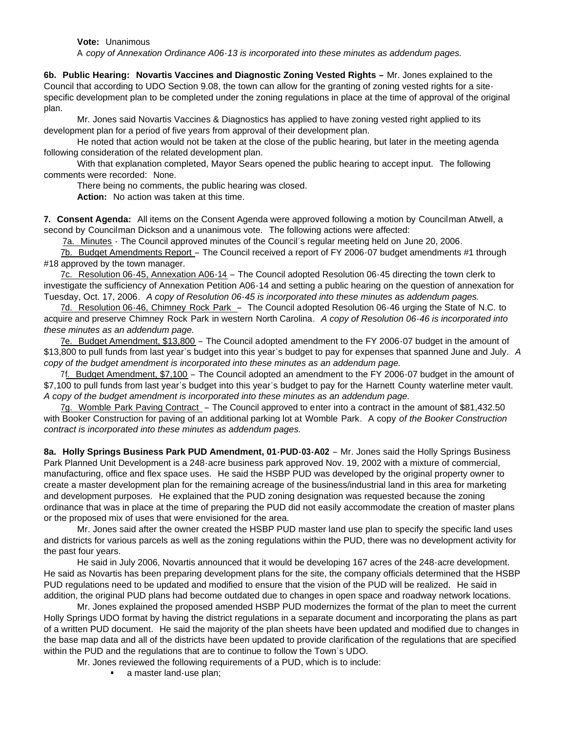**Vote:** Unanimous

A *copy of Annexation Ordinance A06-13 is incorporated into these minutes as addendum pages.*

**6b. Public Hearing: Novartis Vaccines and Diagnostic Zoning Vested Rights –** Mr. Jones explained to the Council that according to UDO Section 9.08, the town can allow for the granting of zoning vested rights for a sitespecific development plan to be completed under the zoning regulations in place at the time of approval of the original plan.

 Mr. Jones said Novartis Vaccines & Diagnostics has applied to have zoning vested right applied to its development plan for a period of five years from approval of their development plan.

He noted that action would not be taken at the close of the public hearing, but later in the meeting agenda following consideration of the related development plan.

With that explanation completed, Mayor Sears opened the public hearing to accept input. The following comments were recorded: None.

There being no comments, the public hearing was closed.

**Action:** No action was taken at this time.

**7. Consent Agenda:** All items on the Consent Agenda were approved following a motion by Councilman Atwell, a second by Councilman Dickson and a unanimous vote. The following actions were affected:

7a. Minutes - The Council approved minutes of the Council's regular meeting held on June 20, 2006.

 7b. Budget Amendments Report – The Council received a report of FY 2006-07 budget amendments #1 through #18 approved by the town manager.

 7c. Resolution 06-45, Annexation A06-14 – The Council adopted Resolution 06-45 directing the town clerk to investigate the sufficiency of Annexation Petition A06-14 and setting a public hearing on the question of annexation for Tuesday, Oct. 17, 2006. *A copy of Resolution 06-45 is incorporated into these minutes as addendum pages.*

7d. Resolution 06-46, Chimney Rock Park – The Council adopted Resolution 06-46 urging the State of N.C. to acquire and preserve Chimney Rock Park in western North Carolina. *A copy of Resolution 06-46 is incorporated into these minutes as an addendum page.*

 7e. Budget Amendment, \$13,800 – The Council adopted amendment to the FY 2006-07 budget in the amount of \$13,800 to pull funds from last year's budget into this year's budget to pay for expenses that spanned June and July. *A copy of the budget amendment is incorporated into these minutes as an addendum page.*

 7f. Budget Amendment, \$7,100 – The Council adopted an amendment to the FY 2006-07 budget in the amount of \$7,100 to pull funds from last year's budget into this year's budget to pay for the Harnett County waterline meter vault. *A copy of the budget amendment is incorporated into these minutes as an addendum page.*

 7g. Womble Park Paving Contract – The Council approved to enter into a contract in the amount of \$81,432.50 with Booker Construction for paving of an additional parking lot at Womble Park. A copy *of the Booker Construction contract is incorporated into these minutes as addendum pages.*

**8a. Holly Springs Business Park PUD Amendment, 01-PUD-03-A02** – Mr. Jones said the Holly Springs Business Park Planned Unit Development is a 248-acre business park approved Nov. 19, 2002 with a mixture of commercial, manufacturing, office and flex space uses. He said the HSBP PUD was developed by the original property owner to create a master development plan for the remaining acreage of the business/industrial land in this area for marketing and development purposes. He explained that the PUD zoning designation was requested because the zoning ordinance that was in place at the time of preparing the PUD did not easily accommodate the creation of master plans or the proposed mix of uses that were envisioned for the area.

 Mr. Jones said after the owner created the HSBP PUD master land use plan to specify the specific land uses and districts for various parcels as well as the zoning regulations within the PUD, there was no development activity for the past four years.

 He said in July 2006, Novartis announced that it would be developing 167 acres of the 248-acre development. He said as Novartis has been preparing development plans for the site, the company officials determined that the HSBP PUD regulations need to be updated and modified to ensure that the vision of the PUD will be realized. He said in addition, the original PUD plans had become outdated due to changes in open space and roadway network locations.

 Mr. Jones explained the proposed amended HSBP PUD modernizes the format of the plan to meet the current Holly Springs UDO format by having the district regulations in a separate document and incorporating the plans as part of a written PUD document. He said the majority of the plan sheets have been updated and modified due to changes in the base map data and all of the districts have been updated to provide clarification of the regulations that are specified within the PUD and the regulations that are to continue to follow the Town's UDO.

Mr. Jones reviewed the following requirements of a PUD, which is to include:

• a master land-use plan;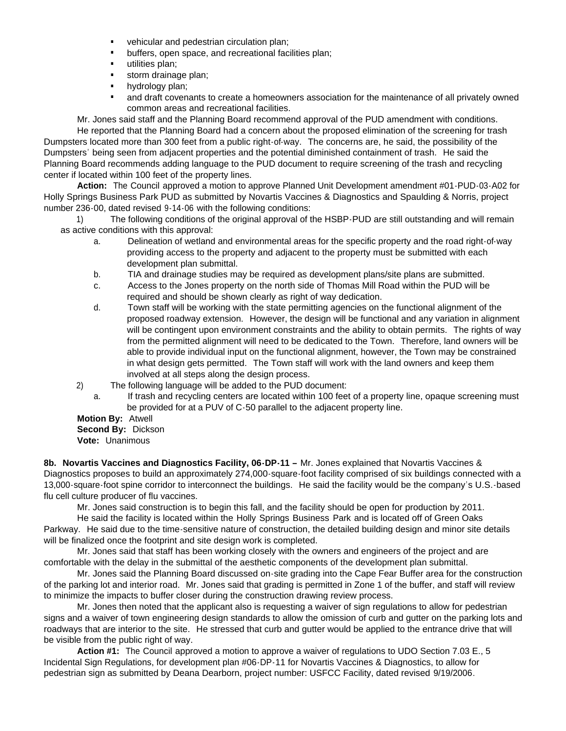- vehicular and pedestrian circulation plan;
- buffers, open space, and recreational facilities plan;
- utilities plan;
- storm drainage plan;
- hydrology plan;
- and draft covenants to create a homeowners association for the maintenance of all privately owned common areas and recreational facilities.

Mr. Jones said staff and the Planning Board recommend approval of the PUD amendment with conditions.

He reported that the Planning Board had a concern about the proposed elimination of the screening for trash Dumpsters located more than 300 feet from a public right-of-way. The concerns are, he said, the possibility of the Dumpsters' being seen from adjacent properties and the potential diminished containment of trash. He said the Planning Board recommends adding language to the PUD document to require screening of the trash and recycling center if located within 100 feet of the property lines.

 **Action:** The Council approved a motion to approve Planned Unit Development amendment #01-PUD-03-A02 for Holly Springs Business Park PUD as submitted by Novartis Vaccines & Diagnostics and Spaulding & Norris, project number 236-00, dated revised 9-14-06 with the following conditions:

1) The following conditions of the original approval of the HSBP-PUD are still outstanding and will remain as active conditions with this approval:

- a. Delineation of wetland and environmental areas for the specific property and the road right-of-way providing access to the property and adjacent to the property must be submitted with each development plan submittal.
- b. TIA and drainage studies may be required as development plans/site plans are submitted.
- c. Access to the Jones property on the north side of Thomas Mill Road within the PUD will be required and should be shown clearly as right of way dedication.
- d. Town staff will be working with the state permitting agencies on the functional alignment of the proposed roadway extension. However, the design will be functional and any variation in alignment will be contingent upon environment constraints and the ability to obtain permits. The rights of way from the permitted alignment will need to be dedicated to the Town. Therefore, land owners will be able to provide individual input on the functional alignment, however, the Town may be constrained in what design gets permitted. The Town staff will work with the land owners and keep them involved at all steps along the design process.
- 2) The following language will be added to the PUD document:
	- a. If trash and recycling centers are located within 100 feet of a property line, opaque screening must be provided for at a PUV of C-50 parallel to the adjacent property line.

### **Motion By:** Atwell

## **Second By:** Dickson

**Vote:** Unanimous

**8b. Novartis Vaccines and Diagnostics Facility, 06-DP-11 –** Mr. Jones explained that Novartis Vaccines & Diagnostics proposes to build an approximately 274,000-square-foot facility comprised of six buildings connected with a 13,000-square-foot spine corridor to interconnect the buildings. He said the facility would be the company's U.S.-based flu cell culture producer of flu vaccines.

Mr. Jones said construction is to begin this fall, and the facility should be open for production by 2011.

 He said the facility is located within the Holly Springs Business Park and is located off of Green Oaks Parkway. He said due to the time-sensitive nature of construction, the detailed building design and minor site details will be finalized once the footprint and site design work is completed.

 Mr. Jones said that staff has been working closely with the owners and engineers of the project and are comfortable with the delay in the submittal of the aesthetic components of the development plan submittal.

Mr. Jones said the Planning Board discussed on-site grading into the Cape Fear Buffer area for the construction of the parking lot and interior road. Mr. Jones said that grading is permitted in Zone 1 of the buffer, and staff will review to minimize the impacts to buffer closer during the construction drawing review process.

Mr. Jones then noted that the applicant also is requesting a waiver of sign regulations to allow for pedestrian signs and a waiver of town engineering design standards to allow the omission of curb and gutter on the parking lots and roadways that are interior to the site. He stressed that curb and gutter would be applied to the entrance drive that will be visible from the public right of way.

**Action #1:** The Council approved a motion to approve a waiver of regulations to UDO Section 7.03 E., 5 Incidental Sign Regulations, for development plan #06-DP-11 for Novartis Vaccines & Diagnostics, to allow for pedestrian sign as submitted by Deana Dearborn, project number: USFCC Facility, dated revised 9/19/2006.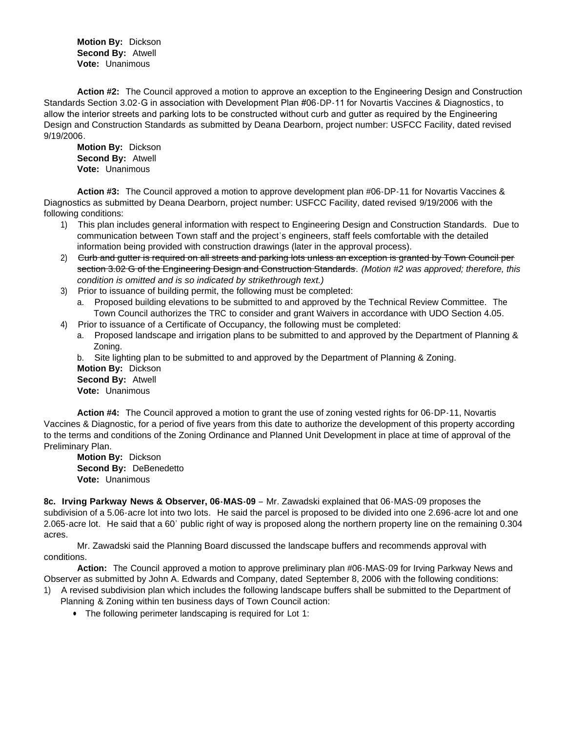**Motion By:** Dickson **Second By:** Atwell **Vote:** Unanimous

**Action #2:** The Council approved a motion to approve an exception to the Engineering Design and Construction Standards Section 3.02-G in association with Development Plan #06-DP-11 for Novartis Vaccines & Diagnostics, to allow the interior streets and parking lots to be constructed without curb and gutter as required by the Engineering Design and Construction Standards as submitted by Deana Dearborn, project number: USFCC Facility, dated revised 9/19/2006.

 **Motion By:** Dickson **Second By:** Atwell **Vote:** Unanimous

 **Action #3:** The Council approved a motion to approve development plan #06-DP-11 for Novartis Vaccines & Diagnostics as submitted by Deana Dearborn, project number: USFCC Facility, dated revised 9/19/2006 with the following conditions:

- 1) This plan includes general information with respect to Engineering Design and Construction Standards. Due to communication between Town staff and the project's engineers, staff feels comfortable with the detailed information being provided with construction drawings (later in the approval process).
- 2) <del>Curb and gutter is required on all streets and parking lots unless an exception is granted by Town Council per</del> section 3.02 G of the Engineering Design and Construction Standards. *(Motion #2 was approved; therefore, this condition is omitted and is so indicated by strikethrough text.)*
- 3) Prior to issuance of building permit, the following must be completed:
	- a. Proposed building elevations to be submitted to and approved by the Technical Review Committee. The Town Council authorizes the TRC to consider and grant Waivers in accordance with UDO Section 4.05.
- 4) Prior to issuance of a Certificate of Occupancy, the following must be completed:
	- a. Proposed landscape and irrigation plans to be submitted to and approved by the Department of Planning & Zoning.

b. Site lighting plan to be submitted to and approved by the Department of Planning & Zoning. **Motion By:** Dickson **Second By:** Atwell **Vote:** Unanimous

**Action #4:** The Council approved a motion to grant the use of zoning vested rights for 06-DP-11, Novartis Vaccines & Diagnostic, for a period of five years from this date to authorize the development of this property according to the terms and conditions of the Zoning Ordinance and Planned Unit Development in place at time of approval of the Preliminary Plan.

 **Motion By:** Dickson **Second By:** DeBenedetto **Vote:** Unanimous

**8c. Irving Parkway News & Observer, 06-MAS-09** – Mr. Zawadski explained that 06-MAS-09 proposes the subdivision of a 5.06-acre lot into two lots. He said the parcel is proposed to be divided into one 2.696-acre lot and one 2.065-acre lot. He said that a 60' public right of way is proposed along the northern property line on the remaining 0.304 acres.

Mr. Zawadski said the Planning Board discussed the landscape buffers and recommends approval with conditions.

**Action:** The Council approved a motion to approve preliminary plan #06-MAS-09 for Irving Parkway News and Observer as submitted by John A. Edwards and Company, dated September 8, 2006 with the following conditions:

- 1) A revised subdivision plan which includes the following landscape buffers shall be submitted to the Department of Planning & Zoning within ten business days of Town Council action:
	- The following perimeter landscaping is required for Lot 1: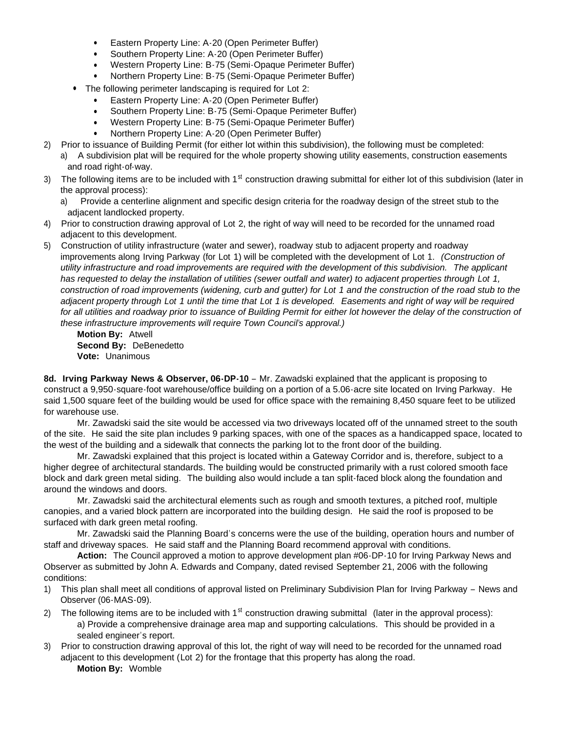- Eastern Property Line: A-20 (Open Perimeter Buffer)
- Southern Property Line: A-20 (Open Perimeter Buffer)
- Western Property Line: B-75 (Semi-Opaque Perimeter Buffer)
- Northern Property Line: B-75 (Semi-Opaque Perimeter Buffer)
- The following perimeter landscaping is required for Lot 2:
	- Eastern Property Line: A-20 (Open Perimeter Buffer)
	- Southern Property Line: B-75 (Semi-Opaque Perimeter Buffer)
	- Western Property Line: B-75 (Semi-Opaque Perimeter Buffer)
	- Northern Property Line: A-20 (Open Perimeter Buffer)
- 2) Prior to issuance of Building Permit (for either lot within this subdivision), the following must be completed:
	- a) A subdivision plat will be required for the whole property showing utility easements, construction easements and road right-of-way.
- 3) The following items are to be included with  $1<sup>st</sup>$  construction drawing submittal for either lot of this subdivision (later in the approval process):
	- a) Provide a centerline alignment and specific design criteria for the roadway design of the street stub to the adjacent landlocked property.
- 4) Prior to construction drawing approval of Lot 2, the right of way will need to be recorded for the unnamed road adjacent to this development.
- 5) Construction of utility infrastructure (water and sewer), roadway stub to adjacent property and roadway improvements along Irving Parkway (for Lot 1) will be completed with the development of Lot 1. *(Construction of utility infrastructure and road improvements are required with the development of this subdivision. The applicant has requested to delay the installation of utilities (sewer outfall and water) to adjacent properties through Lot 1, construction of road improvements (widening, curb and gutter) for Lot 1 and the construction of the road stub to the adjacent property through Lot 1 until the time that Lot 1 is developed. Easements and right of way will be required*  for all utilities and roadway prior to issuance of Building Permit for either lot however the delay of the construction of *these infrastructure improvements will require Town Council's approval.)*

**Motion By:** Atwell **Second By:** DeBenedetto **Vote:** Unanimous

**8d. Irving Parkway News & Observer, 06-DP-10** – Mr. Zawadski explained that the applicant is proposing to construct a 9,950-square-foot warehouse/office building on a portion of a 5.06-acre site located on Irving Parkway. He said 1,500 square feet of the building would be used for office space with the remaining 8,450 square feet to be utilized for warehouse use.

 Mr. Zawadski said the site would be accessed via two driveways located off of the unnamed street to the south of the site. He said the site plan includes 9 parking spaces, with one of the spaces as a handicapped space, located to the west of the building and a sidewalk that connects the parking lot to the front door of the building.

 Mr. Zawadski explained that this project is located within a Gateway Corridor and is, therefore, subject to a higher degree of architectural standards. The building would be constructed primarily with a rust colored smooth face block and dark green metal siding. The building also would include a tan split-faced block along the foundation and around the windows and doors.

 Mr. Zawadski said the architectural elements such as rough and smooth textures, a pitched roof, multiple canopies, and a varied block pattern are incorporated into the building design. He said the roof is proposed to be surfaced with dark green metal roofing.

 Mr. Zawadski said the Planning Board's concerns were the use of the building, operation hours and number of staff and driveway spaces. He said staff and the Planning Board recommend approval with conditions.

 **Action:** The Council approved a motion to approve development plan #06-DP-10 for Irving Parkway News and Observer as submitted by John A. Edwards and Company, dated revised September 21, 2006 with the following conditions:

- 1) This plan shall meet all conditions of approval listed on Preliminary Subdivision Plan for Irving Parkway News and Observer (06-MAS-09).
- 2) The following items are to be included with  $1<sup>st</sup>$  construction drawing submittal (later in the approval process): a) Provide a comprehensive drainage area map and supporting calculations. This should be provided in a sealed engineer's report.
- 3) Prior to construction drawing approval of this lot, the right of way will need to be recorded for the unnamed road adjacent to this development (Lot 2) for the frontage that this property has along the road. **Motion By:** Womble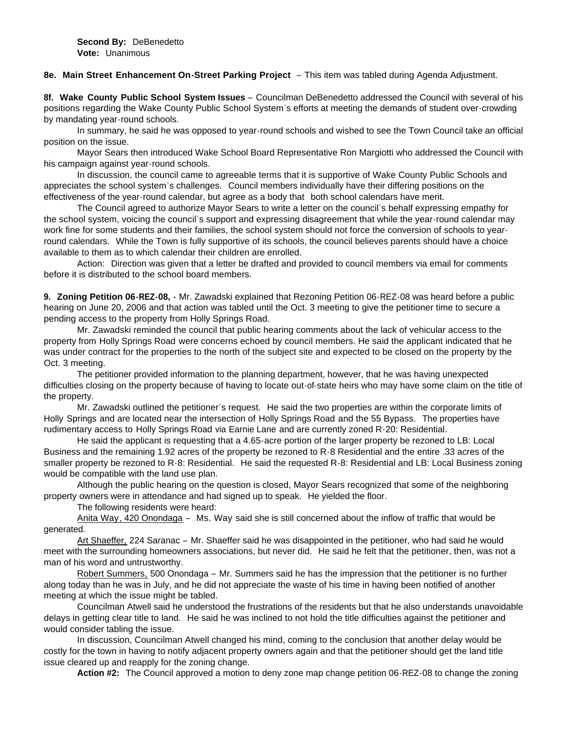#### **8e. Main Street Enhancement On-Street Parking Project** – This item was tabled during Agenda Adjustment.

**8f. Wake County Public School System Issues** – Councilman DeBenedetto addressed the Council with several of his positions regarding the Wake County Public School System's efforts at meeting the demands of student over-crowding by mandating year-round schools.

 In summary, he said he was opposed to year-round schools and wished to see the Town Council take an official position on the issue.

 Mayor Sears then introduced Wake School Board Representative Ron Margiotti who addressed the Council with his campaign against year-round schools.

 In discussion, the council came to agreeable terms that it is supportive of Wake County Public Schools and appreciates the school system's challenges. Council members individually have their differing positions on the effectiveness of the year-round calendar, but agree as a body that both school calendars have merit.

 The Council agreed to authorize Mayor Sears to write a letter on the council's behalf expressing empathy for the school system, voicing the council's support and expressing disagreement that while the year-round calendar may work fine for some students and their families, the school system should not force the conversion of schools to yearround calendars. While the Town is fully supportive of its schools, the council believes parents should have a choice available to them as to which calendar their children are enrolled.

 Action: Direction was given that a letter be drafted and provided to council members via email for comments before it is distributed to the school board members.

**9. Zoning Petition 06-REZ-08, -** Mr. Zawadski explained that Rezoning Petition 06-REZ-08 was heard before a public hearing on June 20, 2006 and that action was tabled until the Oct. 3 meeting to give the petitioner time to secure a pending access to the property from Holly Springs Road.

 Mr. Zawadski reminded the council that public hearing comments about the lack of vehicular access to the property from Holly Springs Road were concerns echoed by council members. He said the applicant indicated that he was under contract for the properties to the north of the subject site and expected to be closed on the property by the Oct. 3 meeting.

 The petitioner provided information to the planning department, however, that he was having unexpected difficulties closing on the property because of having to locate out-of-state heirs who may have some claim on the title of the property.

 Mr. Zawadski outlined the petitioner's request. He said the two properties are within the corporate limits of Holly Springs and are located near the intersection of Holly Springs Road and the 55 Bypass. The properties have rudimentary access to Holly Springs Road via Earnie Lane and are currently zoned R-20: Residential.

 He said the applicant is requesting that a 4.65-acre portion of the larger property be rezoned to LB: Local Business and the remaining 1.92 acres of the property be rezoned to R-8 Residential and the entire .33 acres of the smaller property be rezoned to R-8: Residential. He said the requested R-8: Residential and LB: Local Business zoning would be compatible with the land use plan.

 Although the public hearing on the question is closed, Mayor Sears recognized that some of the neighboring property owners were in attendance and had signed up to speak. He yielded the floor.

The following residents were heard:

Anita Way, 420 Onondaga – Ms. Way said she is still concerned about the inflow of traffic that would be generated.

Art Shaeffer, 224 Saranac – Mr. Shaeffer said he was disappointed in the petitioner, who had said he would meet with the surrounding homeowners associations, but never did. He said he felt that the petitioner, then, was not a man of his word and untrustworthy.

Robert Summers, 500 Onondaga – Mr. Summers said he has the impression that the petitioner is no further along today than he was in July, and he did not appreciate the waste of his time in having been notified of another meeting at which the issue might be tabled.

Councilman Atwell said he understood the frustrations of the residents but that he also understands unavoidable delays in getting clear title to land. He said he was inclined to not hold the title difficulties against the petitioner and would consider tabling the issue.

In discussion, Councilman Atwell changed his mind, coming to the conclusion that another delay would be costly for the town in having to notify adjacent property owners again and that the petitioner should get the land title issue cleared up and reapply for the zoning change.

**Action #2:** The Council approved a motion to deny zone map change petition 06-REZ-08 to change the zoning